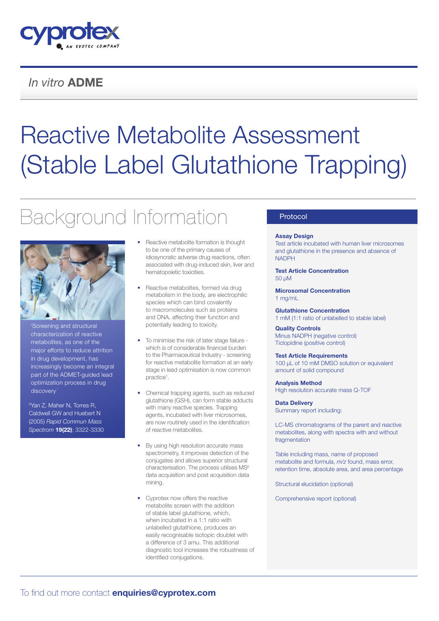

### *In vitro* ADME

# Reactive Metabolite Assessment (Stable Label Glutathione Trapping)

## Background Information



Screening and structural characterization of reactive metabolites, as one of the major efforts to reduce attrition in drug development, has increasingly become an integral part of the ADMET-guided lead optimization process in drug discovery.'

2 Yan Z, Maher N, Torres R, Caldwell GW and Huebert N (2005) *Rapid Commun Mass Spectrom* 19(22); 3322-3330

- Reactive metabolite formation is thought to be one of the primary causes of idiosyncratic adverse drug reactions, often associated with drug-induced skin, liver and hematopoietic toxicities.
- Reactive metabolites, formed via drug metabolism in the body, are electrophilic species which can bind covalently to macromolecules such as proteins and DNA, affecting their function and potentially leading to toxicity.
- To minimise the risk of later stage failure which is of considerable financial burden to the Pharmaceutical Industry - screening for reactive metabolite formation at an early stage in lead optimisation is now common practice<sup>1</sup>.
- Chemical trapping agents, such as reduced glutathione (GSH), can form stable adducts with many reactive species. Trapping agents, incubated with liver microsomes, are now routinely used in the identification of reactive metabolites.
- By using high resolution accurate mass spectrometry, it improves detection of the conjugates and allows superior structural characterisation. The process utilises MSE data acquisition and post acquisition data mining.
- Cyprotex now offers the reactive metabolite screen with the addition of stable label glutathione, which, when incubated in a 1:1 ratio with unlabelled glutathione, produces an easily recognisable isotopic doublet with a difference of 3 amu. This additional diagnostic tool increases the robustness of identified conjugations.

#### Protocol

#### Assay Design

Test article incubated with human liver microsomes and glutathione in the presence and absence of NADPH

#### Test Article Concentration 50 μM

Microsomal Concentration 1 mg/mL

Glutathione Concentration 1 mM (1:1 ratio of unlabelled to stable label)

Quality Controls Minus NADPH (negative control) Ticlopidine (positive control)

#### Test Article Requirements

100 uL of 10 mM DMSO solution or equivalent amount of solid compound

Analysis Method

High resolution accurate mass Q-TOF

#### Data Delivery

Summary report including:

LC-MS chromatograms of the parent and reactive metabolites, along with spectra with and without fragmentation

Table including mass, name of proposed metabolite and formula, *m/z* found, mass error, retention time, absolute area, and area percentage

Structural elucidation (optional)

Comprehensive report (optional)